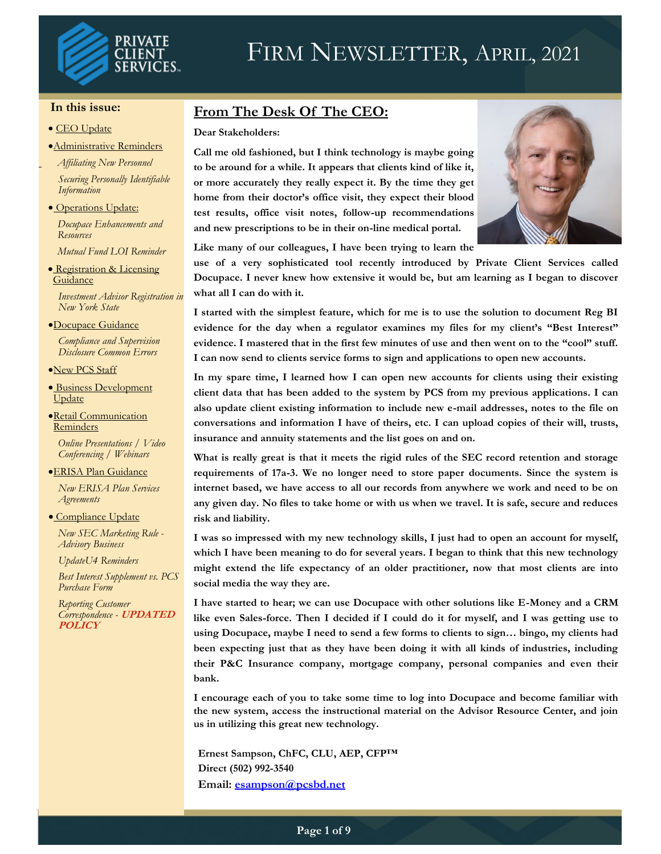

#### **In this issue:**

#### • CEO Update

•Administrative Reminders

*Affiliating New Personnel*

*Securing Personally Identifiable Information*

• Operations Update:

*Docupace Enhancements and Resources*

*Mutual Fund LOI Reminder*

• Registration & Licensing **Guidance** *Investment Advisor Registration in* 

*New York State* •Docupace Guidance

*Compliance and Supervision Disclosure Common Errors*

- •New PCS Staff
- Business Development **Update**
- •Retail Communication **Reminders**

 *Online Presentations / Video Conferencing / Webinars*

•ERISA Plan Guidance *New ERISA Plan Services* 

• Compliance Update

*Agreements*

*New SEC Marketing Rule - Advisory Business*

*UpdateU4 Reminders*

*Best Interest Supplement vs. PCS Purchase Form*

*Reporting Customer Correspondence -* **UPDATED POLICY**

## **From The Desk Of The CEO:**

#### **Dear Stakeholders:**

**Call me old fashioned, but I think technology is maybe going to be around for a while. It appears that clients kind of like it, or more accurately they really expect it. By the time they get home from their doctor's office visit, they expect their blood test results, office visit notes, follow-up recommendations and new prescriptions to be in their on-line medical portal.** 



**Like many of our colleagues, I have been trying to learn the** 

**use of a very sophisticated tool recently introduced by Private Client Services called Docupace. I never knew how extensive it would be, but am learning as I began to discover what all I can do with it.** 

**I started with the simplest feature, which for me is to use the solution to document Reg BI evidence for the day when a regulator examines my files for my client's "Best Interest" evidence. I mastered that in the first few minutes of use and then went on to the "cool" stuff. I can now send to clients service forms to sign and applications to open new accounts.**

**In my spare time, I learned how I can open new accounts for clients using their existing client data that has been added to the system by PCS from my previous applications. I can also update client existing information to include new e-mail addresses, notes to the file on conversations and information I have of theirs, etc. I can upload copies of their will, trusts, insurance and annuity statements and the list goes on and on.** 

**What is really great is that it meets the rigid rules of the SEC record retention and storage requirements of 17a-3. We no longer need to store paper documents. Since the system is internet based, we have access to all our records from anywhere we work and need to be on any given day. No files to take home or with us when we travel. It is safe, secure and reduces risk and liability.** 

**I was so impressed with my new technology skills, I just had to open an account for myself, which I have been meaning to do for several years. I began to think that this new technology might extend the life expectancy of an older practitioner, now that most clients are into social media the way they are.** 

**I have started to hear; we can use Docupace with other solutions like E-Money and a CRM like even Sales-force. Then I decided if I could do it for myself, and I was getting use to using Docupace, maybe I need to send a few forms to clients to sign… bingo, my clients had been expecting just that as they have been doing it with all kinds of industries, including their P&C Insurance company, mortgage company, personal companies and even their bank.** 

**I encourage each of you to take some time to log into Docupace and become familiar with the new system, access the instructional material on the Advisor Resource Center, and join us in utilizing this great new technology.**

**Ernest Sampson, ChFC, CLU, AEP, CFP™ Direct (502) 992-3540 Email: [esampson@pcsbd.net](mailto:esampson@pcsbd.net)**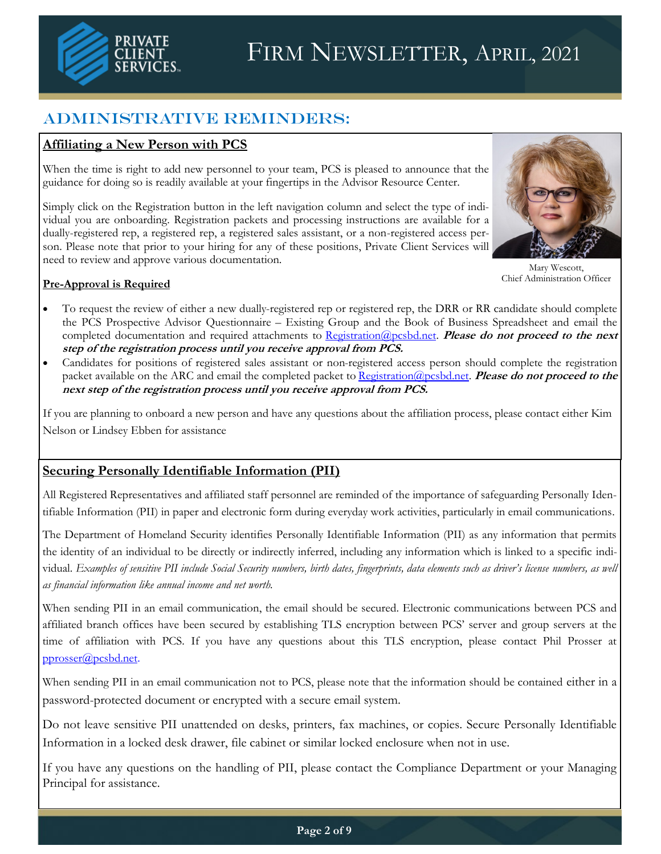

# Administrative Reminders:

## **Affiliating a New Person with PCS**

When the time is right to add new personnel to your team, PCS is pleased to announce that the guidance for doing so is readily available at your fingertips in the Advisor Resource Center.

Simply click on the Registration button in the left navigation column and select the type of individual you are onboarding. Registration packets and processing instructions are available for a dually-registered rep, a registered rep, a registered sales assistant, or a non-registered access person. Please note that prior to your hiring for any of these positions, Private Client Services will need to review and approve various documentation.



Mary Wescott, Chief Administration Officer

### **Pre-Approval is Required**

- To request the review of either a new dually-registered rep or registered rep, the DRR or RR candidate should complete the PCS Prospective Advisor Questionnaire – Existing Group and the Book of Business Spreadsheet and email the completed documentation and required attachments to [Registration@pcsbd.net.](mailto:Registration@pcsbd.net) **Please do not proceed to the next step of the registration process until you receive approval from PCS.**
- Candidates for positions of registered sales assistant or non-registered access person should complete the registration packet available on the ARC and email the completed packet to [Registration@pcsbd.net.](mailto:Registration@pcsbd.net) **Please do not proceed to the next step of the registration process until you receive approval from PCS.**

If you are planning to onboard a new person and have any questions about the affiliation process, please contact either Kim Nelson or Lindsey Ebben for assistance

### **Securing Personally Identifiable Information (PII)**

All Registered Representatives and affiliated staff personnel are reminded of the importance of safeguarding Personally Identifiable Information (PII) in paper and electronic form during everyday work activities, particularly in email communications.

The Department of Homeland Security identifies Personally Identifiable Information (PII) as any information that permits the identity of an individual to be directly or indirectly inferred, including any information which is linked to a specific individual. *Examples of sensitive PII include Social Security numbers, birth dates, fingerprints, data elements such as driver's license numbers, as well as financial information like annual income and net worth.*

When sending PII in an email communication, the email should be secured. Electronic communications between PCS and affiliated branch offices have been secured by establishing TLS encryption between PCS' server and group servers at the time of affiliation with PCS. If you have any questions about this TLS encryption, please contact Phil Prosser at [pprosser@pcsbd.net.](mailto:pprosser@pcsbd.net)

When sending PII in an email communication not to PCS, please note that the information should be contained either in a password-protected document or encrypted with a secure email system.

Do not leave sensitive PII unattended on desks, printers, fax machines, or copies. Secure Personally Identifiable Information in a locked desk drawer, file cabinet or similar locked enclosure when not in use.

If you have any questions on the handling of PII, please contact the Compliance Department or your Managing Principal for assistance.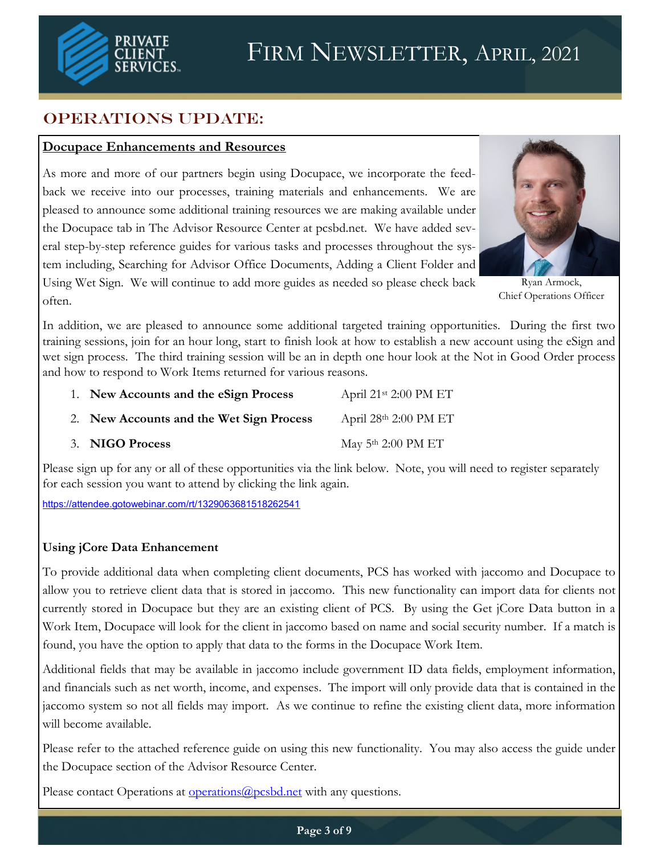

# OPERATIONS UPDATE:

## **Docupace Enhancements and Resources**

As more and more of our partners begin using Docupace, we incorporate the feedback we receive into our processes, training materials and enhancements. We are pleased to announce some additional training resources we are making available under the Docupace tab in The Advisor Resource Center at pcsbd.net. We have added several step-by-step reference guides for various tasks and processes throughout the system including, Searching for Advisor Office Documents, Adding a Client Folder and Using Wet Sign. We will continue to add more guides as needed so please check back



Ryan Armock, Chief Operations Officer

often.

In addition, we are pleased to announce some additional targeted training opportunities. During the first two training sessions, join for an hour long, start to finish look at how to establish a new account using the eSign and wet sign process. The third training session will be an in depth one hour look at the Not in Good Order process and how to respond to Work Items returned for various reasons.

1. **New Accounts and the eSign Process** April 21<sup>st</sup> 2:00 PM ET 2. **New Accounts and the Wet Sign Process** April 28th 2:00 PM ET 3. **NIGO Process** May 5<sup>th</sup> 2:00 PM ET

Please sign up for any or all of these opportunities via the link below. Note, you will need to register separately for each session you want to attend by clicking the link again.

[https://attendee.gotowebinar.com/rt/1329063681518262541](https://us-west-2.protection.sophos.com?d=gotowebinar.com&u=aHR0cHM6Ly9hdHRlbmRlZS5nb3Rvd2ViaW5hci5jb20vcnQvMTMyOTA2MzY4MTUxODI2MjU0MQ==&i=NWNiOGY2MmMzYzAzZjAxMTJmMjlkNjk1&t=SnRvdHJabU5tVERGOEtnVUxtMGRWbVNuRERMTDlhttps:/attendee.gotowebinar.com/rt/13290636815)

### **Using jCore Data Enhancement**

To provide additional data when completing client documents, PCS has worked with jaccomo and Docupace to allow you to retrieve client data that is stored in jaccomo. This new functionality can import data for clients not currently stored in Docupace but they are an existing client of PCS. By using the Get jCore Data button in a Work Item, Docupace will look for the client in jaccomo based on name and social security number. If a match is found, you have the option to apply that data to the forms in the Docupace Work Item.

Additional fields that may be available in jaccomo include government ID data fields, employment information, and financials such as net worth, income, and expenses. The import will only provide data that is contained in the jaccomo system so not all fields may import. As we continue to refine the existing client data, more information will become available.

Please refer to the attached reference guide on using this new functionality. You may also access the guide under the Docupace section of the Advisor Resource Center.

Please contact Operations at **operations** (*a*) possible.net with any questions.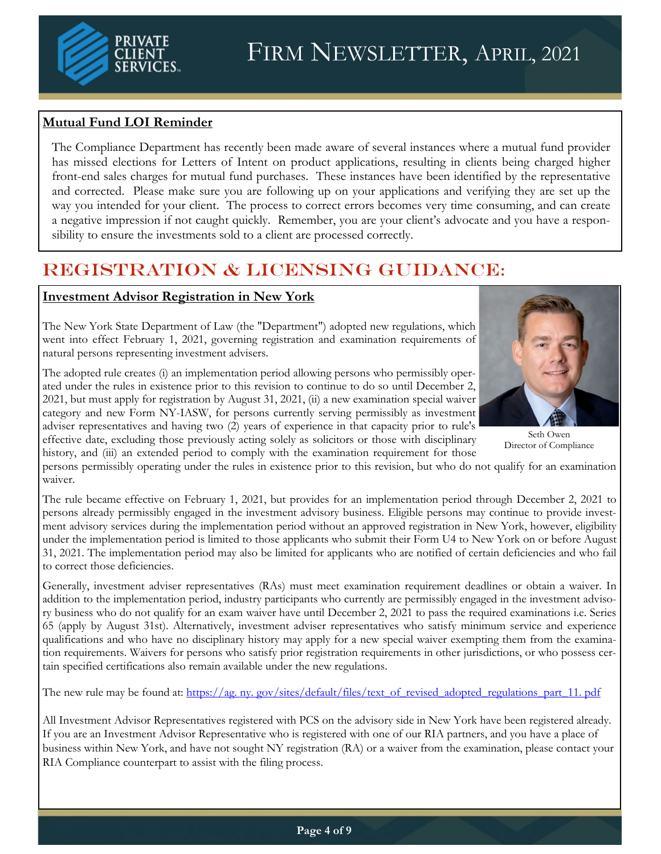## **Mutual Fund LOI Reminder**

The Compliance Department has recently been made aware of several instances where a mutual fund provider has missed elections for Letters of Intent on product applications, resulting in clients being charged higher front-end sales charges for mutual fund purchases. These instances have been identified by the representative and corrected. Please make sure you are following up on your applications and verifying they are set up the way you intended for your client. The process to correct errors becomes very time consuming, and can create a negative impression if not caught quickly. Remember, you are your client's advocate and you have a responsibility to ensure the investments sold to a client are processed correctly.

# REGISTRATION & LICENSING GUIDANCE:

### **Investment Advisor Registration in New York**

The New York State Department of Law (the "Department") adopted new regulations, which went into effect February 1, 2021, governing registration and examination requirements of natural persons representing investment advisers.

The adopted rule creates (i) an implementation period allowing persons who permissibly operated under the rules in existence prior to this revision to continue to do so until December 2, 2021, but must apply for registration by August 31, 2021, (ii) a new examination special waiver category and new Form NY-IASW, for persons currently serving permissibly as investment adviser representatives and having two (2) years of experience in that capacity prior to rule's effective date, excluding those previously acting solely as solicitors or those with disciplinary history, and (iii) an extended period to comply with the examination requirement for those

persons permissibly operating under the rules in existence prior to this revision, but who do not qualify for an examination waiver.

The rule became effective on February 1, 2021, but provides for an implementation period through December 2, 2021 to persons already permissibly engaged in the investment advisory business. Eligible persons may continue to provide investment advisory services during the implementation period without an approved registration in New York, however, eligibility under the implementation period is limited to those applicants who submit their Form U4 to New York on or before August 31, 2021. The implementation period may also be limited for applicants who are notified of certain deficiencies and who fail to correct those deficiencies.

Generally, investment adviser representatives (RAs) must meet examination requirement deadlines or obtain a waiver. In addition to the implementation period, industry participants who currently are permissibly engaged in the investment advisory business who do not qualify for an exam waiver have until December 2, 2021 to pass the required examinations i.e. Series 65 (apply by August 31st). Alternatively, investment adviser representatives who satisfy minimum service and experience qualifications and who have no disciplinary history may apply for a new special waiver exempting them from the examination requirements. Waivers for persons who satisfy prior registration requirements in other jurisdictions, or who possess certain specified certifications also remain available under the new regulations.

The new rule may be found at: [https://ag. ny. gov/sites/default/files/text\\_of\\_revised\\_adopted\\_regulations\\_part\\_11. pdf](https://ag.ny.gov/sites/default/files/text_of_revised_adopted_regulations_part_11.pdf)

All Investment Advisor Representatives registered with PCS on the advisory side in New York have been registered already. If you are an Investment Advisor Representative who is registered with one of our RIA partners, and you have a place of business within New York, and have not sought NY registration (RA) or a waiver from the examination, please contact your RIA Compliance counterpart to assist with the filing process.

Seth Owen Director of Compliance



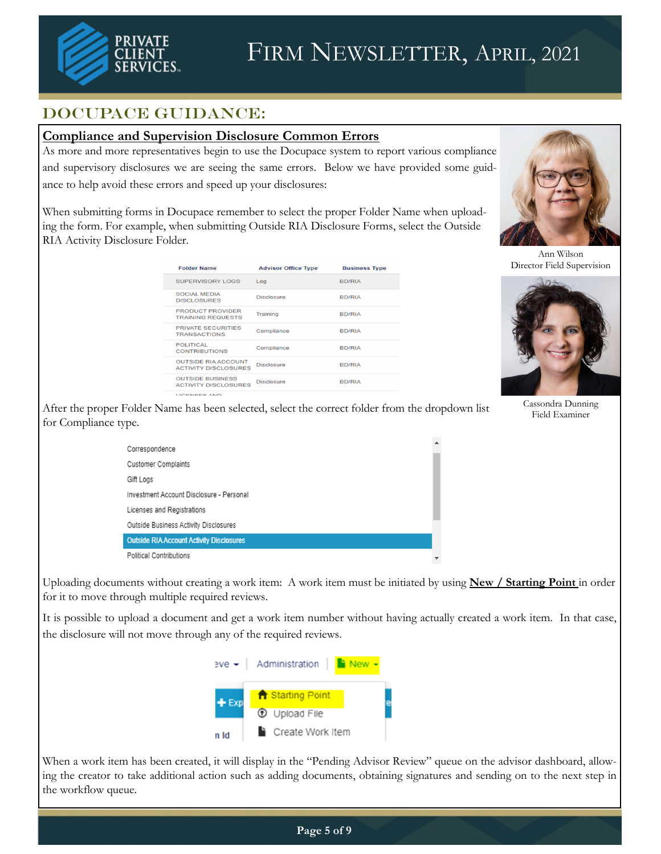

# DOCUPACE GUIDANCE:

### **Compliance and Supervision Disclosure Common Errors**

As more and more representatives begin to use the Docupace system to report various compliance and supervisory disclosures we are seeing the same errors. Below we have provided some guidance to help avoid these errors and speed up your disclosures:

When submitting forms in Docupace remember to select the proper Folder Name when uploading the form. For example, when submitting Outside RIA Disclosure Forms, select the Outside RIA Activity Disclosure Folder.



Ann Wilson Director Field Supervision





Cassondra Dunning Field Examiner

After the proper Folder Name has been selected, select the correct folder from the dropdown list for Compliance type.

| Correspondence                                  |   |
|-------------------------------------------------|---|
| <b>Customer Complaints</b>                      |   |
| Gift Logs                                       |   |
| Investment Account Disclosure - Personal        |   |
| Licenses and Registrations                      |   |
| Outside Business Activity Disclosures           |   |
| <b>Outside RIA Account Activity Disclosures</b> |   |
| <b>Political Contributions</b>                  | ▼ |

Uploading documents without creating a work item: A work item must be initiated by using **New / Starting Point** in order for it to move through multiple required reviews.

It is possible to upload a document and get a work item number without having actually created a work item. In that case, the disclosure will not move through any of the required reviews.



When a work item has been created, it will display in the "Pending Advisor Review" queue on the advisor dashboard, allowing the creator to take additional action such as adding documents, obtaining signatures and sending on to the next step in the workflow queue.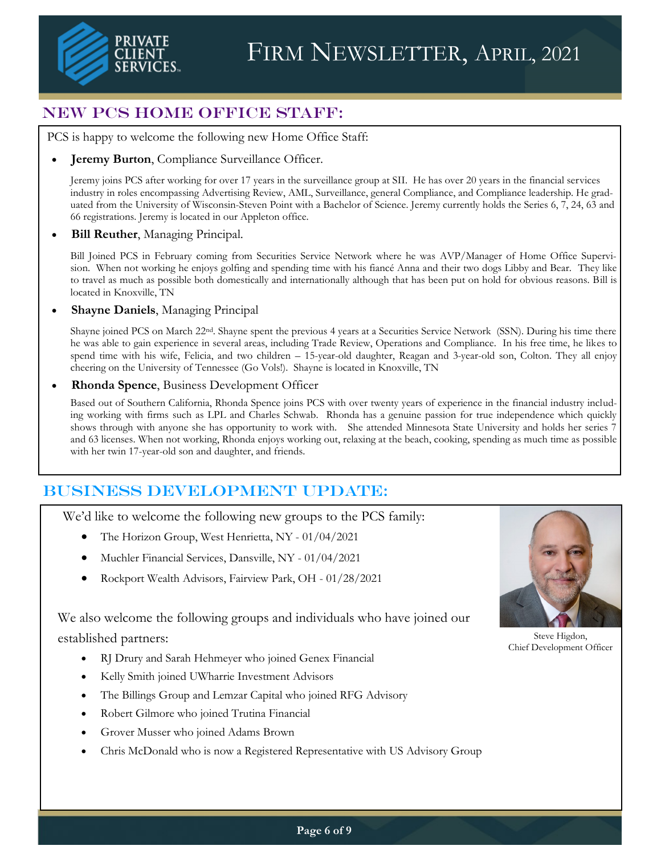

# New PCS Home Office Staff:

PCS is happy to welcome the following new Home Office Staff:

#### **Jeremy Burton**, Compliance Surveillance Officer.

Jeremy joins PCS after working for over 17 years in the surveillance group at SII. He has over 20 years in the financial services industry in roles encompassing Advertising Review, AML, Surveillance, general Compliance, and Compliance leadership. He graduated from the University of Wisconsin-Steven Point with a Bachelor of Science. Jeremy currently holds the Series 6, 7, 24, 63 and 66 registrations. Jeremy is located in our Appleton office.

#### • **Bill Reuther**, Managing Principal.

Bill Joined PCS in February coming from Securities Service Network where he was AVP/Manager of Home Office Supervision. When not working he enjoys golfing and spending time with his fiancé Anna and their two dogs Libby and Bear. They like to travel as much as possible both domestically and internationally although that has been put on hold for obvious reasons. Bill is located in Knoxville, TN

#### • **Shayne Daniels**, Managing Principal

Shayne joined PCS on March 22nd. Shayne spent the previous 4 years at a Securities Service Network (SSN). During his time there he was able to gain experience in several areas, including Trade Review, Operations and Compliance. In his free time, he likes to spend time with his wife, Felicia, and two children – 15-year-old daughter, Reagan and 3-year-old son, Colton. They all enjoy cheering on the University of Tennessee (Go Vols!). Shayne is located in Knoxville, TN

#### • **Rhonda Spence**, Business Development Officer

Based out of Southern California, Rhonda Spence joins PCS with over twenty years of experience in the financial industry including working with firms such as LPL and Charles Schwab. Rhonda has a genuine passion for true independence which quickly shows through with anyone she has opportunity to work with. She attended Minnesota State University and holds her series 7 and 63 licenses. When not working, Rhonda enjoys working out, relaxing at the beach, cooking, spending as much time as possible with her twin 17-year-old son and daughter, and friends.

# Business Development UPDATE:

We'd like to welcome the following new groups to the PCS family:

- The Horizon Group, West Henrietta, NY 01/04/2021
- Muchler Financial Services, Dansville, NY 01/04/2021
- Rockport Wealth Advisors, Fairview Park, OH 01/28/2021

We also welcome the following groups and individuals who have joined our

established partners:

- RJ Drury and Sarah Hehmeyer who joined Genex Financial
- Kelly Smith joined UWharrie Investment Advisors
- The Billings Group and Lemzar Capital who joined RFG Advisory
- Robert Gilmore who joined Trutina Financial
- Grover Musser who joined Adams Brown
- Chris McDonald who is now a Registered Representative with US Advisory Group



Steve Higdon, Chief Development Officer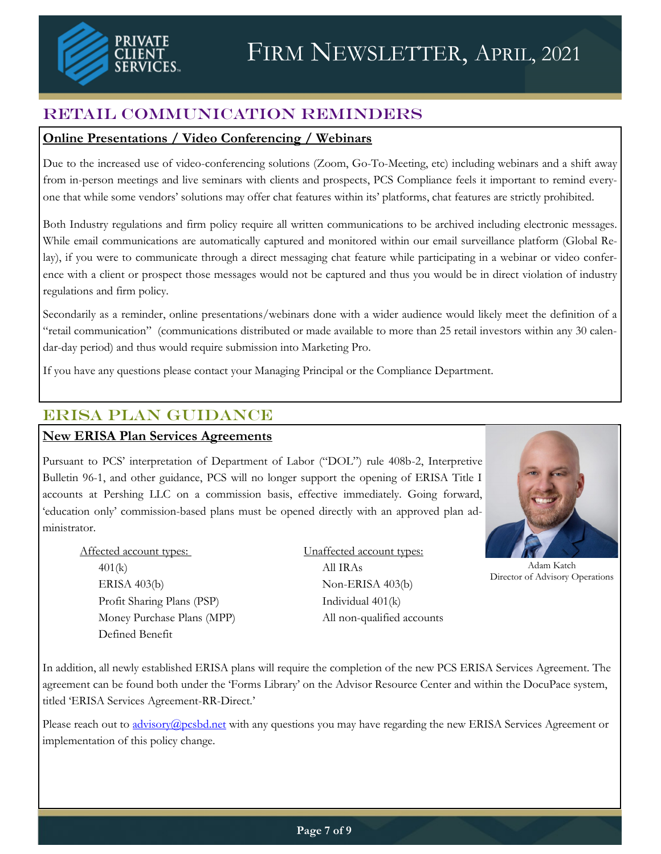

# Retail Communication Reminders

## **Online Presentations / Video Conferencing / Webinars**

Due to the increased use of video-conferencing solutions (Zoom, Go-To-Meeting, etc) including webinars and a shift away from in-person meetings and live seminars with clients and prospects, PCS Compliance feels it important to remind everyone that while some vendors' solutions may offer chat features within its' platforms, chat features are strictly prohibited.

Both Industry regulations and firm policy require all written communications to be archived including electronic messages. While email communications are automatically captured and monitored within our email surveillance platform (Global Relay), if you were to communicate through a direct messaging chat feature while participating in a webinar or video conference with a client or prospect those messages would not be captured and thus you would be in direct violation of industry regulations and firm policy.

Secondarily as a reminder, online presentations/webinars done with a wider audience would likely meet the definition of a "retail communication" (communications distributed or made available to more than 25 retail investors within any 30 calendar-day period) and thus would require submission into Marketing Pro.

If you have any questions please contact your Managing Principal or the Compliance Department.

# ERISA Plan guidance

## **New ERISA Plan Services Agreements**

Pursuant to PCS' interpretation of Department of Labor ("DOL") rule 408b-2, Interpretive Bulletin 96-1, and other guidance, PCS will no longer support the opening of ERISA Title I accounts at Pershing LLC on a commission basis, effective immediately. Going forward, 'education only' commission-based plans must be opened directly with an approved plan administrator.

Affected account types: Unaffected account types: 401(k) All IRAs  $ERISA 403(b)$  Non-ERISA 403(b) Profit Sharing Plans (PSP) Individual 401(k) Defined Benefit

Money Purchase Plans (MPP) All non-qualified accounts



Adam Katch Director of Advisory Operations

In addition, all newly established ERISA plans will require the completion of the new PCS ERISA Services Agreement. The agreement can be found both under the 'Forms Library' on the Advisor Resource Center and within the DocuPace system, titled 'ERISA Services Agreement-RR-Direct.'

Please reach out to [advisory@pcsbd.net](mailto:advisory@pcsbd.net) with any questions you may have regarding the new ERISA Services Agreement or implementation of this policy change.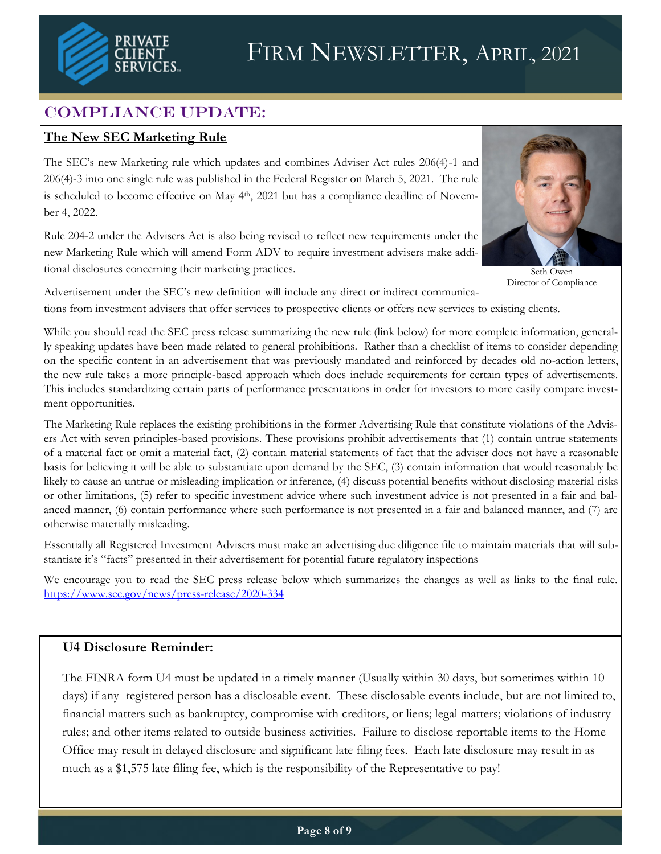

# COMPLIANCE UPDATE:

### **The New SEC Marketing Rule**

The SEC's new Marketing rule which updates and combines Adviser Act rules 206(4)-1 and 206(4)-3 into one single rule was published in the Federal Register on March 5, 2021. The rule is scheduled to become effective on May 4<sup>th</sup>, 2021 but has a compliance deadline of November 4, 2022.

Rule 204-2 under the Advisers Act is also being revised to reflect new requirements under the new Marketing Rule which will amend Form ADV to require investment advisers make additional disclosures concerning their marketing practices.



Seth Owen Director of Compliance

Advertisement under the SEC's new definition will include any direct or indirect communications from investment advisers that offer services to prospective clients or offers new services to existing clients.

While you should read the SEC press release summarizing the new rule (link below) for more complete information, generally speaking updates have been made related to general prohibitions. Rather than a checklist of items to consider depending on the specific content in an advertisement that was previously mandated and reinforced by decades old no-action letters, the new rule takes a more principle-based approach which does include requirements for certain types of advertisements. This includes standardizing certain parts of performance presentations in order for investors to more easily compare investment opportunities.

The Marketing Rule replaces the existing prohibitions in the former Advertising Rule that constitute violations of the Advisers Act with seven principles-based provisions. These provisions prohibit advertisements that (1) contain untrue statements of a material fact or omit a material fact, (2) contain material statements of fact that the adviser does not have a reasonable basis for believing it will be able to substantiate upon demand by the SEC, (3) contain information that would reasonably be likely to cause an untrue or misleading implication or inference, (4) discuss potential benefits without disclosing material risks or other limitations, (5) refer to specific investment advice where such investment advice is not presented in a fair and balanced manner, (6) contain performance where such performance is not presented in a fair and balanced manner, and (7) are otherwise materially misleading.

Essentially all Registered Investment Advisers must make an advertising due diligence file to maintain materials that will substantiate it's "facts" presented in their advertisement for potential future regulatory inspections

We encourage you to read the SEC press release below which summarizes the changes as well as links to the final rule. <https://www.sec.gov/news/press-release/2020-334>

### **U4 Disclosure Reminder:**

The FINRA form U4 must be updated in a timely manner (Usually within 30 days, but sometimes within 10 days) if any registered person has a disclosable event. These disclosable events include, but are not limited to, financial matters such as bankruptcy, compromise with creditors, or liens; legal matters; violations of industry rules; and other items related to outside business activities. Failure to disclose reportable items to the Home Office may result in delayed disclosure and significant late filing fees. Each late disclosure may result in as much as a \$1,575 late filing fee, which is the responsibility of the Representative to pay!